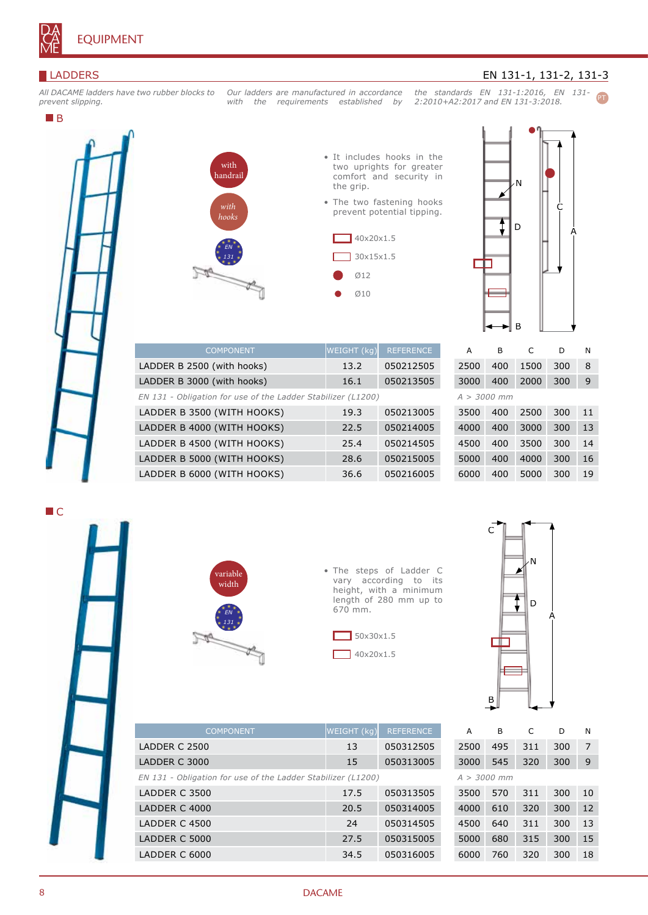

## LADDERS

*All DACAME ladders have two rubber blocks to prevent slipping.*

ı

## **B**



• It includes hooks in the two uprights for greater comfort and security in the grip.

*Our ladders are manufactured in accordance with the requirements established by* 

> • The two fastening hooks prevent potential tipping.





*the standards EN 131-1:2016, EN 131-* PT

EN 131-1, 131-2, 131-3

*2:2010+A2:2017 and EN 131-3:2018.*

| <b>COMPONENT</b>                                             | $WEIGHT$ (kg) | <b>REFERENCE</b> |
|--------------------------------------------------------------|---------------|------------------|
| LADDER B 2500 (with hooks)                                   | 13.2          | 050212505        |
| LADDER B 3000 (with hooks)                                   | 16.1          | 050213505        |
| EN 131 - Obligation for use of the Ladder Stabilizer (L1200) |               |                  |
| LADDER B 3500 (WITH HOOKS)                                   | 19.3          | 050213005        |
| LADDER B 4000 (WITH HOOKS)                                   | 22.5          | 050214005        |
| LADDER B 4500 (WITH HOOKS)                                   | 25.4          | 050214505        |
| LADDER B 5000 (WITH HOOKS)                                   | 28.6          | 050215005        |
| LADDER B 6000 (WITH HOOKS)                                   | 36.6          | 050216005        |

|               | А    | в   | C    | D   | N  |  |
|---------------|------|-----|------|-----|----|--|
|               | 2500 | 400 | 1500 | 300 | 8  |  |
|               | 3000 | 400 | 2000 | 300 | 9  |  |
| $A > 3000$ mm |      |     |      |     |    |  |
|               | 3500 | 400 | 2500 | 300 | 11 |  |
|               | 4000 | 400 | 3000 | 300 | 13 |  |
|               | 4500 | 400 | 3500 | 300 | 14 |  |
|               | 5000 | 400 | 4000 | 300 | 16 |  |
|               | 6000 | 400 | 5000 | 300 | 19 |  |



*EN 131 - Obligation for use of the Ladder Stabilizer (L1200)*



• The steps of Ladder C vary according to its height, with a minimum length of 280 mm up to 670 mm.





| <b>COMPONENT</b>                                             | WEIGHT (kg) | <b>REFERENCE</b> |  |
|--------------------------------------------------------------|-------------|------------------|--|
| LADDER C 2500                                                | 13          | 050312505        |  |
| LADDER C 3000                                                | 15          | 050313005        |  |
| EN 131 - Obligation for use of the Ladder Stabilizer (L1200) |             |                  |  |
| LADDER C 3500                                                | 17.5        | 050313505        |  |
| LADDER C 4000                                                | 20.5        | 050314005        |  |
| LADDER C 4500                                                | 24          | 050314505        |  |
| LADDER C 5000                                                | 27.5        | 050315005        |  |
| LADDER C 6000                                                | 34.5        | 050316005        |  |